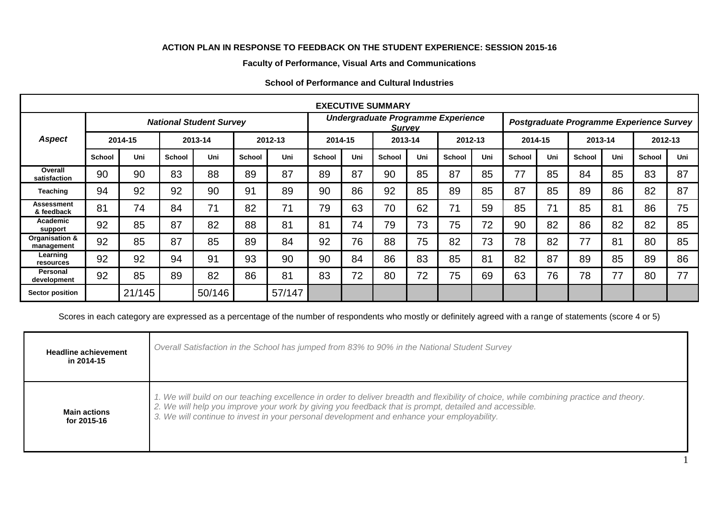## **ACTION PLAN IN RESPONSE TO FEEDBACK ON THE STUDENT EXPERIENCE: SESSION 2015-16**

## **Faculty of Performance, Visual Arts and Communications**

|                              |                                |        |               |        |               |                                                     |               |     | <b>EXECUTIVE SUMMARY</b> |     |                                          |     |               |     |               |     |               |     |
|------------------------------|--------------------------------|--------|---------------|--------|---------------|-----------------------------------------------------|---------------|-----|--------------------------|-----|------------------------------------------|-----|---------------|-----|---------------|-----|---------------|-----|
|                              | <b>National Student Survey</b> |        |               |        |               | Undergraduate Programme Experience<br><b>Survey</b> |               |     |                          |     | Postgraduate Programme Experience Survey |     |               |     |               |     |               |     |
| <b>Aspect</b>                | 2014-15                        |        | 2013-14       |        | 2012-13       |                                                     | 2014-15       |     | 2013-14                  |     | 2012-13                                  |     | 2014-15       |     | 2013-14       |     | 2012-13       |     |
|                              | School                         | Uni    | <b>School</b> | Uni    | <b>School</b> | Uni                                                 | <b>School</b> | Uni | <b>School</b>            | Uni | <b>School</b>                            | Uni | <b>School</b> | Uni | <b>School</b> | Uni | <b>School</b> | Uni |
| Overall<br>satisfaction      | 90                             | 90     | 83            | 88     | 89            | 87                                                  | 89            | 87  | 90                       | 85  | 87                                       | 85  | 77            | 85  | 84            | 85  | 83            | 87  |
| <b>Teaching</b>              | 94                             | 92     | 92            | 90     | 91            | 89                                                  | 90            | 86  | 92                       | 85  | 89                                       | 85  | 87            | 85  | 89            | 86  | 82            | 87  |
| Assessment<br>& feedback     | 81                             | 74     | 84            | 71     | 82            | 71                                                  | 79            | 63  | 70                       | 62  | 71                                       | 59  | 85            | 71  | 85            | 81  | 86            | 75  |
| Academic<br>support          | 92                             | 85     | 87            | 82     | 88            | 81                                                  | 81            | 74  | 79                       | 73  | 75                                       | 72  | 90            | 82  | 86            | 82  | 82            | 85  |
| Organisation &<br>management | 92                             | 85     | 87            | 85     | 89            | 84                                                  | 92            | 76  | 88                       | 75  | 82                                       | 73  | 78            | 82  | 77            | 81  | 80            | 85  |
| Learning<br>resources        | 92                             | 92     | 94            | 91     | 93            | 90                                                  | 90            | 84  | 86                       | 83  | 85                                       | 81  | 82            | 87  | 89            | 85  | 89            | 86  |
| Personal<br>development      | 92                             | 85     | 89            | 82     | 86            | 81                                                  | 83            | 72  | 80                       | 72  | 75                                       | 69  | 63            | 76  | 78            | 77  | 80            | 77  |
| <b>Sector position</b>       |                                | 21/145 |               | 50/146 |               | 57/147                                              |               |     |                          |     |                                          |     |               |     |               |     |               |     |

## **School of Performance and Cultural Industries**

Scores in each category are expressed as a percentage of the number of respondents who mostly or definitely agreed with a range of statements (score 4 or 5)

| <b>Headline achievement</b><br>in 2014-15 | Overall Satisfaction in the School has jumped from 83% to 90% in the National Student Survey                                                                                                                                                                                                                                                   |
|-------------------------------------------|------------------------------------------------------------------------------------------------------------------------------------------------------------------------------------------------------------------------------------------------------------------------------------------------------------------------------------------------|
| <b>Main actions</b><br>for 2015-16        | 1. We will build on our teaching excellence in order to deliver breadth and flexibility of choice, while combining practice and theory.<br>2. We will help you improve your work by giving you feedback that is prompt, detailed and accessible.<br>3. We will continue to invest in your personal development and enhance your employability. |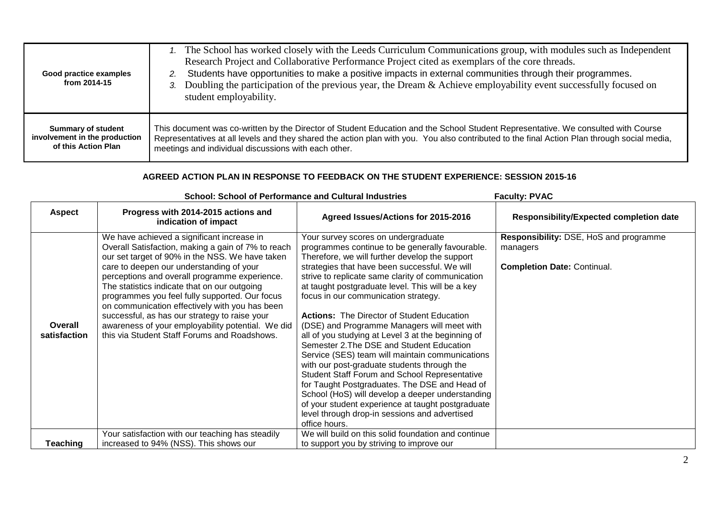| Good practice examples<br>from 2014-15 | 1. The School has worked closely with the Leeds Curriculum Communications group, with modules such as Independent<br>Research Project and Collaborative Performance Project cited as exemplars of the core threads.<br>Students have opportunities to make a positive impacts in external communities through their programmes.<br>3. Doubling the participation of the previous year, the Dream & Achieve employability event successfully focused on<br>student employability. |
|----------------------------------------|----------------------------------------------------------------------------------------------------------------------------------------------------------------------------------------------------------------------------------------------------------------------------------------------------------------------------------------------------------------------------------------------------------------------------------------------------------------------------------|
| <b>Summary of student</b>              | This document was co-written by the Director of Student Education and the School Student Representative. We consulted with Course                                                                                                                                                                                                                                                                                                                                                |
| involvement in the production          | Representatives at all levels and they shared the action plan with you. You also contributed to the final Action Plan through social media,                                                                                                                                                                                                                                                                                                                                      |
| of this Action Plan                    | meetings and individual discussions with each other.                                                                                                                                                                                                                                                                                                                                                                                                                             |

## **AGREED ACTION PLAN IN RESPONSE TO FEEDBACK ON THE STUDENT EXPERIENCE: SESSION 2015-16**

|                         | <b>School: School of Performance and Cultural Industries</b>                                                                                                                                                                                                                                                                                                                                                                                                                                                                                               | <b>Faculty: PVAC</b>                                                                                                                                                                                                                                                                                                                                                                                                                                                                                                                                                                                                                                                                                                                                                                                                                                                                                                   |                                                                                          |
|-------------------------|------------------------------------------------------------------------------------------------------------------------------------------------------------------------------------------------------------------------------------------------------------------------------------------------------------------------------------------------------------------------------------------------------------------------------------------------------------------------------------------------------------------------------------------------------------|------------------------------------------------------------------------------------------------------------------------------------------------------------------------------------------------------------------------------------------------------------------------------------------------------------------------------------------------------------------------------------------------------------------------------------------------------------------------------------------------------------------------------------------------------------------------------------------------------------------------------------------------------------------------------------------------------------------------------------------------------------------------------------------------------------------------------------------------------------------------------------------------------------------------|------------------------------------------------------------------------------------------|
| <b>Aspect</b>           | Progress with 2014-2015 actions and<br>indication of impact                                                                                                                                                                                                                                                                                                                                                                                                                                                                                                | Agreed Issues/Actions for 2015-2016                                                                                                                                                                                                                                                                                                                                                                                                                                                                                                                                                                                                                                                                                                                                                                                                                                                                                    | <b>Responsibility/Expected completion date</b>                                           |
| Overall<br>satisfaction | We have achieved a significant increase in<br>Overall Satisfaction, making a gain of 7% to reach<br>our set target of 90% in the NSS. We have taken<br>care to deepen our understanding of your<br>perceptions and overall programme experience.<br>The statistics indicate that on our outgoing<br>programmes you feel fully supported. Our focus<br>on communication effectively with you has been<br>successful, as has our strategy to raise your<br>awareness of your employability potential. We did<br>this via Student Staff Forums and Roadshows. | Your survey scores on undergraduate<br>programmes continue to be generally favourable.<br>Therefore, we will further develop the support<br>strategies that have been successful. We will<br>strive to replicate same clarity of communication<br>at taught postgraduate level. This will be a key<br>focus in our communication strategy.<br><b>Actions:</b> The Director of Student Education<br>(DSE) and Programme Managers will meet with<br>all of you studying at Level 3 at the beginning of<br>Semester 2. The DSE and Student Education<br>Service (SES) team will maintain communications<br>with our post-graduate students through the<br><b>Student Staff Forum and School Representative</b><br>for Taught Postgraduates. The DSE and Head of<br>School (HoS) will develop a deeper understanding<br>of your student experience at taught postgraduate<br>level through drop-in sessions and advertised | Responsibility: DSE, HoS and programme<br>managers<br><b>Completion Date: Continual.</b> |
|                         | Your satisfaction with our teaching has steadily                                                                                                                                                                                                                                                                                                                                                                                                                                                                                                           | office hours.<br>We will build on this solid foundation and continue                                                                                                                                                                                                                                                                                                                                                                                                                                                                                                                                                                                                                                                                                                                                                                                                                                                   |                                                                                          |
| <b>Teaching</b>         | increased to 94% (NSS). This shows our                                                                                                                                                                                                                                                                                                                                                                                                                                                                                                                     | to support you by striving to improve our                                                                                                                                                                                                                                                                                                                                                                                                                                                                                                                                                                                                                                                                                                                                                                                                                                                                              |                                                                                          |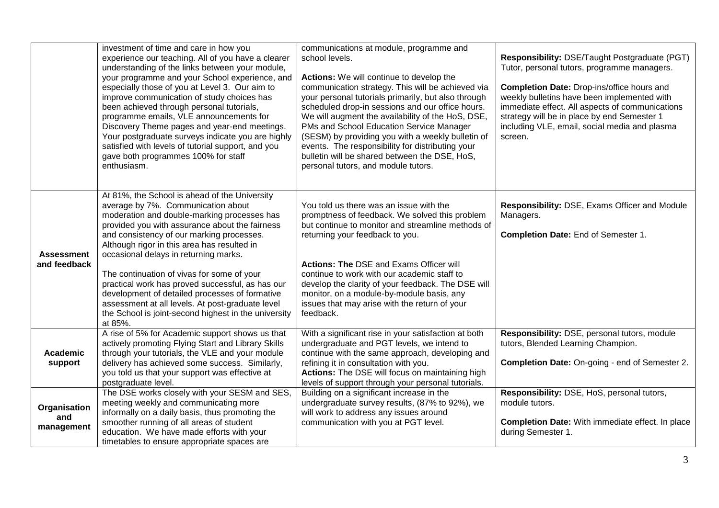|                                   | investment of time and care in how you<br>experience our teaching. All of you have a clearer<br>understanding of the links between your module,<br>your programme and your School experience, and<br>especially those of you at Level 3. Our aim to<br>improve communication of study choices has<br>been achieved through personal tutorials,<br>programme emails, VLE announcements for<br>Discovery Theme pages and year-end meetings.<br>Your postgraduate surveys indicate you are highly<br>satisfied with levels of tutorial support, and you<br>gave both programmes 100% for staff<br>enthusiasm. | communications at module, programme and<br>school levels.<br>Actions: We will continue to develop the<br>communication strategy. This will be achieved via<br>your personal tutorials primarily, but also through<br>scheduled drop-in sessions and our office hours.<br>We will augment the availability of the HoS, DSE,<br>PMs and School Education Service Manager<br>(SESM) by providing you with a weekly bulletin of<br>events. The responsibility for distributing your<br>bulletin will be shared between the DSE, HoS,<br>personal tutors, and module tutors. | Responsibility: DSE/Taught Postgraduate (PGT)<br>Tutor, personal tutors, programme managers.<br><b>Completion Date: Drop-ins/office hours and</b><br>weekly bulletins have been implemented with<br>immediate effect. All aspects of communications<br>strategy will be in place by end Semester 1<br>including VLE, email, social media and plasma<br>screen. |
|-----------------------------------|------------------------------------------------------------------------------------------------------------------------------------------------------------------------------------------------------------------------------------------------------------------------------------------------------------------------------------------------------------------------------------------------------------------------------------------------------------------------------------------------------------------------------------------------------------------------------------------------------------|-------------------------------------------------------------------------------------------------------------------------------------------------------------------------------------------------------------------------------------------------------------------------------------------------------------------------------------------------------------------------------------------------------------------------------------------------------------------------------------------------------------------------------------------------------------------------|----------------------------------------------------------------------------------------------------------------------------------------------------------------------------------------------------------------------------------------------------------------------------------------------------------------------------------------------------------------|
| <b>Assessment</b><br>and feedback | At 81%, the School is ahead of the University<br>average by 7%. Communication about<br>moderation and double-marking processes has<br>provided you with assurance about the fairness<br>and consistency of our marking processes.<br>Although rigor in this area has resulted in<br>occasional delays in returning marks.<br>The continuation of vivas for some of your<br>practical work has proved successful, as has our<br>development of detailed processes of formative<br>assessment at all levels. At post-graduate level<br>the School is joint-second highest in the university<br>at 85%.       | You told us there was an issue with the<br>promptness of feedback. We solved this problem<br>but continue to monitor and streamline methods of<br>returning your feedback to you.<br><b>Actions: The DSE and Exams Officer will</b><br>continue to work with our academic staff to<br>develop the clarity of your feedback. The DSE will<br>monitor, on a module-by-module basis, any<br>issues that may arise with the return of your<br>feedback.                                                                                                                     | Responsibility: DSE, Exams Officer and Module<br>Managers.<br>Completion Date: End of Semester 1.                                                                                                                                                                                                                                                              |
| <b>Academic</b><br>support        | A rise of 5% for Academic support shows us that<br>actively promoting Flying Start and Library Skills<br>through your tutorials, the VLE and your module<br>delivery has achieved some success. Similarly,<br>you told us that your support was effective at<br>postgraduate level.                                                                                                                                                                                                                                                                                                                        | With a significant rise in your satisfaction at both<br>undergraduate and PGT levels, we intend to<br>continue with the same approach, developing and<br>refining it in consultation with you.<br>Actions: The DSE will focus on maintaining high<br>levels of support through your personal tutorials.                                                                                                                                                                                                                                                                 | Responsibility: DSE, personal tutors, module<br>tutors, Blended Learning Champion.<br><b>Completion Date: On-going - end of Semester 2.</b>                                                                                                                                                                                                                    |
| Organisation<br>and<br>management | The DSE works closely with your SESM and SES,<br>meeting weekly and communicating more<br>informally on a daily basis, thus promoting the<br>smoother running of all areas of student<br>education. We have made efforts with your<br>timetables to ensure appropriate spaces are                                                                                                                                                                                                                                                                                                                          | Building on a significant increase in the<br>undergraduate survey results, (87% to 92%), we<br>will work to address any issues around<br>communication with you at PGT level.                                                                                                                                                                                                                                                                                                                                                                                           | Responsibility: DSE, HoS, personal tutors,<br>module tutors.<br>Completion Date: With immediate effect. In place<br>during Semester 1.                                                                                                                                                                                                                         |